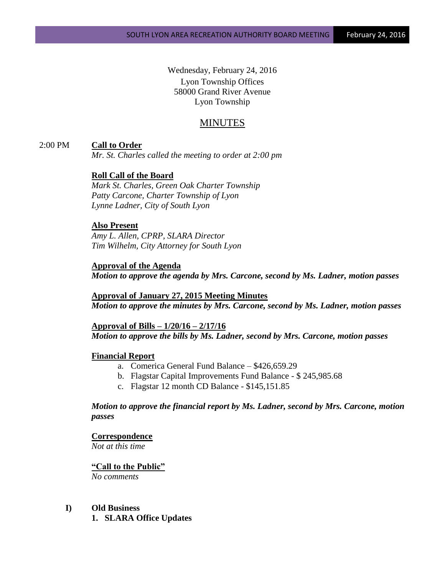Wednesday, February 24, 2016 Lyon Township Offices 58000 Grand River Avenue Lyon Township

# MINUTES

# 2:00 PM **Call to Order**

*Mr. St. Charles called the meeting to order at 2:00 pm*

# **Roll Call of the Board**

*Mark St. Charles, Green Oak Charter Township Patty Carcone, Charter Township of Lyon Lynne Ladner, City of South Lyon* 

### **Also Present**

*Amy L. Allen, CPRP, SLARA Director Tim Wilhelm, City Attorney for South Lyon*

# **Approval of the Agenda**

*Motion to approve the agenda by Mrs. Carcone, second by Ms. Ladner, motion passes*

**Approval of January 27, 2015 Meeting Minutes** *Motion to approve the minutes by Mrs. Carcone, second by Ms. Ladner, motion passes*

**Approval of Bills – 1/20/16 – 2/17/16** *Motion to approve the bills by Ms. Ladner, second by Mrs. Carcone, motion passes*

## **Financial Report**

- a. Comerica General Fund Balance \$426,659.29
- b. Flagstar Capital Improvements Fund Balance \$ 245,985.68
- c. Flagstar 12 month CD Balance \$145,151.85

## *Motion to approve the financial report by Ms. Ladner, second by Mrs. Carcone, motion passes*

#### **Correspondence**

*Not at this time*

## **"Call to the Public"**

*No comments*

# **I) Old Business**

**1. SLARA Office Updates**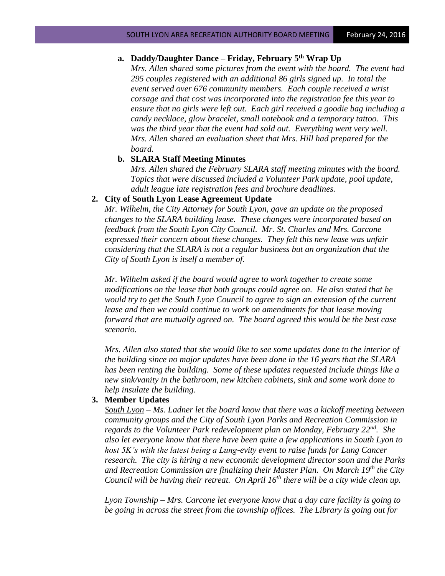# **a. Daddy/Daughter Dance – Friday, February 5 th Wrap Up**

*Mrs. Allen shared some pictures from the event with the board. The event had 295 couples registered with an additional 86 girls signed up. In total the event served over 676 community members. Each couple received a wrist corsage and that cost was incorporated into the registration fee this year to ensure that no girls were left out. Each girl received a goodie bag including a candy necklace, glow bracelet, small notebook and a temporary tattoo. This was the third year that the event had sold out. Everything went very well. Mrs. Allen shared an evaluation sheet that Mrs. Hill had prepared for the board.*

#### **b. SLARA Staff Meeting Minutes**

*Mrs. Allen shared the February SLARA staff meeting minutes with the board. Topics that were discussed included a Volunteer Park update, pool update, adult league late registration fees and brochure deadlines.* 

#### **2. City of South Lyon Lease Agreement Update**

*Mr. Wilhelm, the City Attorney for South Lyon, gave an update on the proposed changes to the SLARA building lease. These changes were incorporated based on feedback from the South Lyon City Council. Mr. St. Charles and Mrs. Carcone expressed their concern about these changes. They felt this new lease was unfair considering that the SLARA is not a regular business but an organization that the City of South Lyon is itself a member of.* 

*Mr. Wilhelm asked if the board would agree to work together to create some modifications on the lease that both groups could agree on. He also stated that he would try to get the South Lyon Council to agree to sign an extension of the current lease and then we could continue to work on amendments for that lease moving forward that are mutually agreed on. The board agreed this would be the best case scenario.* 

*Mrs. Allen also stated that she would like to see some updates done to the interior of the building since no major updates have been done in the 16 years that the SLARA has been renting the building. Some of these updates requested include things like a new sink/vanity in the bathroom, new kitchen cabinets, sink and some work done to help insulate the building.*

# **3. Member Updates**

*South Lyon – Ms. Ladner let the board know that there was a kickoff meeting between community groups and the City of South Lyon Parks and Recreation Commission in regards to the Volunteer Park redevelopment plan on Monday, February 22nd . She also let everyone know that there have been quite a few applications in South Lyon to host 5K's with the latest being a Lung-evity event to raise funds for Lung Cancer research. The city is hiring a new economic development director soon and the Parks and Recreation Commission are finalizing their Master Plan. On March 19th the City Council will be having their retreat. On April 16th there will be a city wide clean up.*

*Lyon Township – Mrs. Carcone let everyone know that a day care facility is going to be going in across the street from the township offices. The Library is going out for*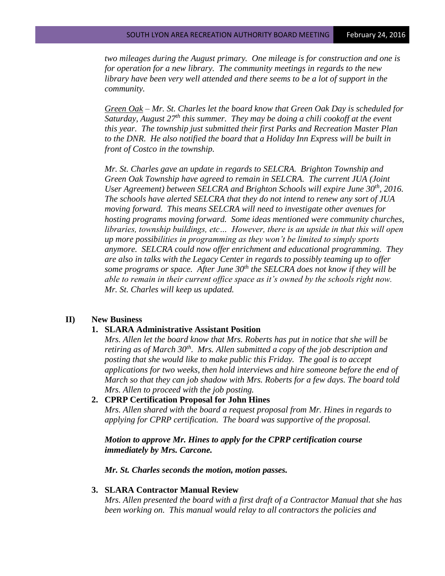*two mileages during the August primary. One mileage is for construction and one is for operation for a new library. The community meetings in regards to the new library have been very well attended and there seems to be a lot of support in the community.*

*Green Oak – Mr. St. Charles let the board know that Green Oak Day is scheduled for Saturday, August 27th this summer. They may be doing a chili cookoff at the event this year. The township just submitted their first Parks and Recreation Master Plan to the DNR. He also notified the board that a Holiday Inn Express will be built in front of Costco in the township.*

*Mr. St. Charles gave an update in regards to SELCRA. Brighton Township and Green Oak Township have agreed to remain in SELCRA. The current JUA (Joint User Agreement) between SELCRA and Brighton Schools will expire June 30th, 2016. The schools have alerted SELCRA that they do not intend to renew any sort of JUA moving forward. This means SELCRA will need to investigate other avenues for hosting programs moving forward. Some ideas mentioned were community churches, libraries, township buildings, etc… However, there is an upside in that this will open up more possibilities in programming as they won't be limited to simply sports anymore. SELCRA could now offer enrichment and educational programming. They are also in talks with the Legacy Center in regards to possibly teaming up to offer some programs or space. After June 30th the SELCRA does not know if they will be able to remain in their current office space as it's owned by the schools right now. Mr. St. Charles will keep us updated.*

## **II) New Business**

## **1. SLARA Administrative Assistant Position**

*Mrs. Allen let the board know that Mrs. Roberts has put in notice that she will be retiring as of March 30th. Mrs. Allen submitted a copy of the job description and posting that she would like to make public this Friday. The goal is to accept applications for two weeks, then hold interviews and hire someone before the end of March so that they can job shadow with Mrs. Roberts for a few days. The board told Mrs. Allen to proceed with the job posting.* 

## **2. CPRP Certification Proposal for John Hines**

*Mrs. Allen shared with the board a request proposal from Mr. Hines in regards to applying for CPRP certification. The board was supportive of the proposal.* 

# *Motion to approve Mr. Hines to apply for the CPRP certification course immediately by Mrs. Carcone.*

*Mr. St. Charles seconds the motion, motion passes.* 

## **3. SLARA Contractor Manual Review**

*Mrs. Allen presented the board with a first draft of a Contractor Manual that she has been working on. This manual would relay to all contractors the policies and*